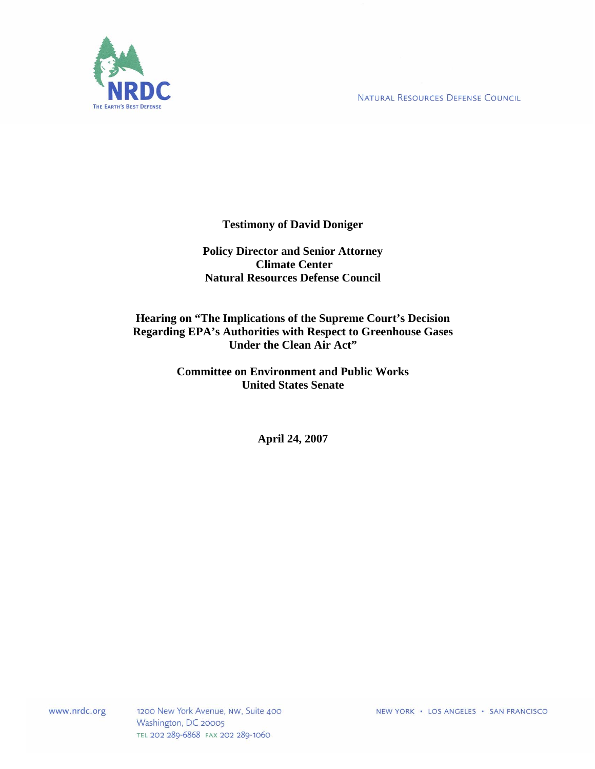NATURAL RESOURCES DEFENSE COUNCIL



**Testimony of David Doniger** 

**Policy Director and Senior Attorney Climate Center Natural Resources Defense Council** 

**Hearing on "The Implications of the Supreme Court's Decision Regarding EPA's Authorities with Respect to Greenhouse Gases Under the Clean Air Act"** 

> **Committee on Environment and Public Works United States Senate**

> > **April 24, 2007**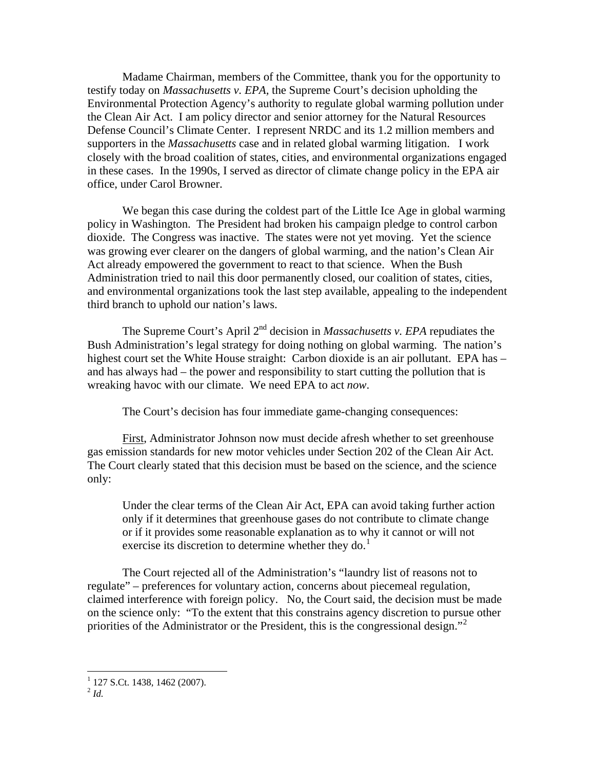Madame Chairman, members of the Committee, thank you for the opportunity to testify today on *Massachusetts v. EPA,* the Supreme Court's decision upholding the Environmental Protection Agency's authority to regulate global warming pollution under the Clean Air Act. I am policy director and senior attorney for the Natural Resources Defense Council's Climate Center. I represent NRDC and its 1.2 million members and supporters in the *Massachusetts* case and in related global warming litigation. I work closely with the broad coalition of states, cities, and environmental organizations engaged in these cases. In the 1990s, I served as director of climate change policy in the EPA air office, under Carol Browner.

We began this case during the coldest part of the Little Ice Age in global warming policy in Washington. The President had broken his campaign pledge to control carbon dioxide. The Congress was inactive. The states were not yet moving. Yet the science was growing ever clearer on the dangers of global warming, and the nation's Clean Air Act already empowered the government to react to that science. When the Bush Administration tried to nail this door permanently closed, our coalition of states, cities, and environmental organizations took the last step available, appealing to the independent third branch to uphold our nation's laws.

The Supreme Court's April 2nd decision in *Massachusetts v. EPA* repudiates the Bush Administration's legal strategy for doing nothing on global warming. The nation's highest court set the White House straight: Carbon dioxide is an air pollutant. EPA has – and has always had – the power and responsibility to start cutting the pollution that is wreaking havoc with our climate. We need EPA to act *now*.

The Court's decision has four immediate game-changing consequences:

First, Administrator Johnson now must decide afresh whether to set greenhouse gas emission standards for new motor vehicles under Section 202 of the Clean Air Act. The Court clearly stated that this decision must be based on the science, and the science only:

Under the clear terms of the Clean Air Act, EPA can avoid taking further action only if it determines that greenhouse gases do not contribute to climate change or if it provides some reasonable explanation as to why it cannot or will not exercise its discretion to determine whether they do.<sup>[1](#page-1-0)</sup>

The Court rejected all of the Administration's "laundry list of reasons not to regulate" – preferences for voluntary action, concerns about piecemeal regulation, claimed interference with foreign policy. No, the Court said, the decision must be made on the science only: "To the extent that this constrains agency discretion to pursue other priorities of the Administrator or the President, this is the congressional design."<sup>[2](#page-1-1)</sup>

<sup>&</sup>lt;sup>1</sup> 127 S.Ct. 1438, 1462 (2007).

<span id="page-1-1"></span><span id="page-1-0"></span> $^2$  *Id.*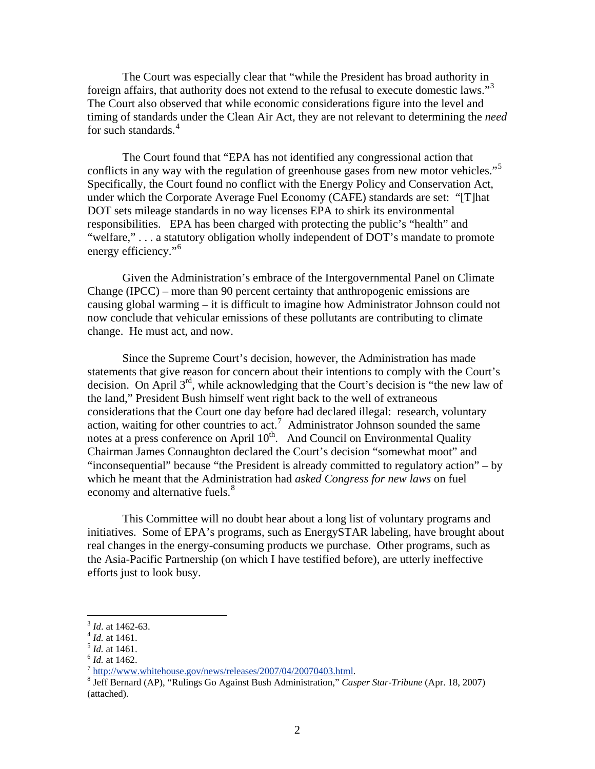The Court was especially clear that "while the President has broad authority in foreign affairs, that authority does not extend to the refusal to execute domestic laws."<sup>[3](#page-2-0)</sup> The Court also observed that while economic considerations figure into the level and timing of standards under the Clean Air Act, they are not relevant to determining the *need*  for such standards.<sup>[4](#page-2-1)</sup>

The Court found that "EPA has not identified any congressional action that conflicts in any way with the regulation of greenhouse gases from new motor vehicles."<sup>[5](#page-2-2)</sup> Specifically, the Court found no conflict with the Energy Policy and Conservation Act, under which the Corporate Average Fuel Economy (CAFE) standards are set: "[T]hat DOT sets mileage standards in no way licenses EPA to shirk its environmental responsibilities. EPA has been charged with protecting the public's "health" and "welfare," . . . a statutory obligation wholly independent of DOT's mandate to promote energy efficiency."<sup>[6](#page-2-3)</sup>

Given the Administration's embrace of the Intergovernmental Panel on Climate Change (IPCC) – more than 90 percent certainty that anthropogenic emissions are causing global warming – it is difficult to imagine how Administrator Johnson could not now conclude that vehicular emissions of these pollutants are contributing to climate change. He must act, and now.

Since the Supreme Court's decision, however, the Administration has made statements that give reason for concern about their intentions to comply with the Court's decision. On April 3<sup>rd</sup>, while acknowledging that the Court's decision is "the new law of the land," President Bush himself went right back to the well of extraneous considerations that the Court one day before had declared illegal: research, voluntary action, waiting for other countries to  $act.^7$  $act.^7$  Administrator Johnson sounded the same notes at a press conference on April  $10^{th}$ . And Council on Environmental Quality Chairman James Connaughton declared the Court's decision "somewhat moot" and "inconsequential" because "the President is already committed to regulatory action" – by which he meant that the Administration had *asked Congress for new laws* on fuel economy and alternative fuels.<sup>[8](#page-2-5)</sup>

This Committee will no doubt hear about a long list of voluntary programs and initiatives. Some of EPA's programs, such as EnergySTAR labeling, have brought about real changes in the energy-consuming products we purchase. Other programs, such as the Asia-Pacific Partnership (on which I have testified before), are utterly ineffective efforts just to look busy.

<span id="page-2-2"></span>

<span id="page-2-3"></span>

<span id="page-2-1"></span><span id="page-2-0"></span><sup>&</sup>lt;sup>3</sup> *Id.* at 1462-63.<br>
<sup>4</sup> *Id.* at 1461.<br>
<sup>6</sup> *Id.* at 1462.<br>
<sup>7</sup> [http://www.whitehouse.gov/news/releases/2007/04/20070403.html.](http://www.whitehouse.gov/news/releases/2007/04/20070403.html)

<span id="page-2-5"></span><span id="page-2-4"></span><sup>&</sup>lt;sup>8</sup> Jeff Bernard (AP), "Rulings Go Against Bush Administration," *Casper Star-Tribune* (Apr. 18, 2007) (attached).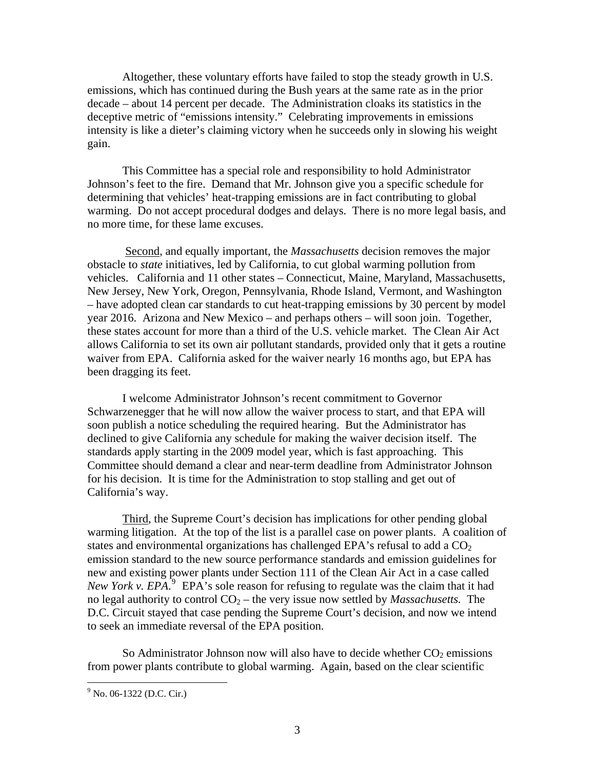Altogether, these voluntary efforts have failed to stop the steady growth in U.S. emissions, which has continued during the Bush years at the same rate as in the prior decade – about 14 percent per decade. The Administration cloaks its statistics in the deceptive metric of "emissions intensity." Celebrating improvements in emissions intensity is like a dieter's claiming victory when he succeeds only in slowing his weight gain.

This Committee has a special role and responsibility to hold Administrator Johnson's feet to the fire. Demand that Mr. Johnson give you a specific schedule for determining that vehicles' heat-trapping emissions are in fact contributing to global warming. Do not accept procedural dodges and delays. There is no more legal basis, and no more time, for these lame excuses.

 Second, and equally important, the *Massachusetts* decision removes the major obstacle to *state* initiatives, led by California, to cut global warming pollution from vehicles. California and 11 other states – Connecticut, Maine, Maryland, Massachusetts, New Jersey, New York, Oregon, Pennsylvania, Rhode Island, Vermont, and Washington – have adopted clean car standards to cut heat-trapping emissions by 30 percent by model year 2016. Arizona and New Mexico – and perhaps others – will soon join. Together, these states account for more than a third of the U.S. vehicle market. The Clean Air Act allows California to set its own air pollutant standards, provided only that it gets a routine waiver from EPA. California asked for the waiver nearly 16 months ago, but EPA has been dragging its feet.

I welcome Administrator Johnson's recent commitment to Governor Schwarzenegger that he will now allow the waiver process to start, and that EPA will soon publish a notice scheduling the required hearing. But the Administrator has declined to give California any schedule for making the waiver decision itself. The standards apply starting in the 2009 model year, which is fast approaching. This Committee should demand a clear and near-term deadline from Administrator Johnson for his decision. It is time for the Administration to stop stalling and get out of California's way.

Third, the Supreme Court's decision has implications for other pending global warming litigation. At the top of the list is a parallel case on power plants. A coalition of states and environmental organizations has challenged EPA's refusal to add a  $CO<sub>2</sub>$ emission standard to the new source performance standards and emission guidelines for new and existing power plants under Section 111 of the Clean Air Act in a case called New York v.  $EPA^{\{5\}}$  EPA's sole reason for refusing to regulate was the claim that it had no legal authority to control  $CO<sub>2</sub>$  – the very issue now settled by *Massachusetts*. The D.C. Circuit stayed that case pending the Supreme Court's decision, and now we intend to seek an immediate reversal of the EPA position.

So Administrator Johnson now will also have to decide whether  $CO<sub>2</sub>$  emissions from power plants contribute to global warming. Again, based on the clear scientific

<span id="page-3-0"></span><sup>&</sup>lt;sup>9</sup> No. 06-1322 (D.C. Cir.)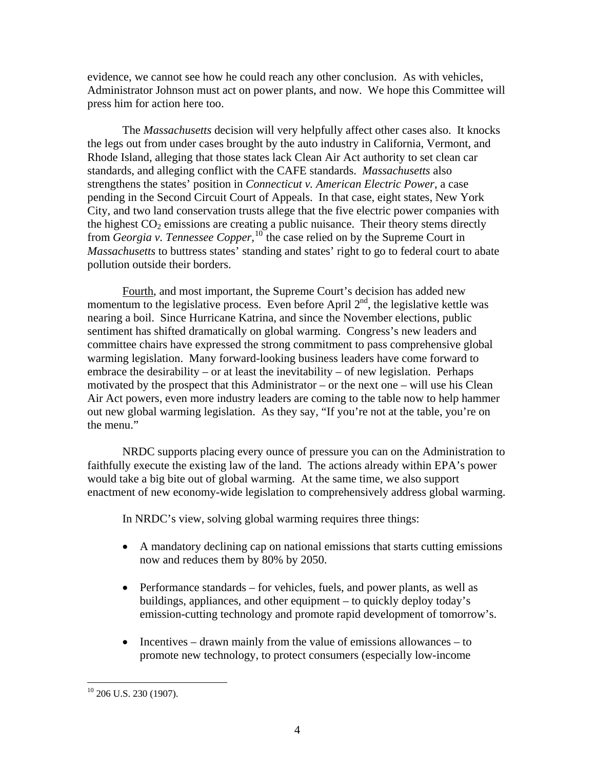evidence, we cannot see how he could reach any other conclusion. As with vehicles, Administrator Johnson must act on power plants, and now. We hope this Committee will press him for action here too.

The *Massachusetts* decision will very helpfully affect other cases also. It knocks the legs out from under cases brought by the auto industry in California, Vermont, and Rhode Island, alleging that those states lack Clean Air Act authority to set clean car standards, and alleging conflict with the CAFE standards. *Massachusetts* also strengthens the states' position in *Connecticut v. American Electric Power*, a case pending in the Second Circuit Court of Appeals. In that case, eight states, New York City, and two land conservation trusts allege that the five electric power companies with the highest  $CO<sub>2</sub>$  emissions are creating a public nuisance. Their theory stems directly from *Georgia v. Tennessee Copper,*[10](#page-4-0) the case relied on by the Supreme Court in *Massachusetts* to buttress states' standing and states' right to go to federal court to abate pollution outside their borders.

Fourth, and most important, the Supreme Court's decision has added new momentum to the legislative process. Even before April  $2<sup>nd</sup>$ , the legislative kettle was nearing a boil. Since Hurricane Katrina, and since the November elections, public sentiment has shifted dramatically on global warming. Congress's new leaders and committee chairs have expressed the strong commitment to pass comprehensive global warming legislation. Many forward-looking business leaders have come forward to embrace the desirability – or at least the inevitability – of new legislation. Perhaps motivated by the prospect that this Administrator – or the next one – will use his Clean Air Act powers, even more industry leaders are coming to the table now to help hammer out new global warming legislation. As they say, "If you're not at the table, you're on the menu."

NRDC supports placing every ounce of pressure you can on the Administration to faithfully execute the existing law of the land. The actions already within EPA's power would take a big bite out of global warming. At the same time, we also support enactment of new economy-wide legislation to comprehensively address global warming.

In NRDC's view, solving global warming requires three things:

- A mandatory declining cap on national emissions that starts cutting emissions now and reduces them by 80% by 2050.
- Performance standards for vehicles, fuels, and power plants, as well as buildings, appliances, and other equipment – to quickly deploy today's emission-cutting technology and promote rapid development of tomorrow's.
- Incentives drawn mainly from the value of emissions allowances to promote new technology, to protect consumers (especially low-income

<span id="page-4-0"></span> $10$  206 U.S. 230 (1907).